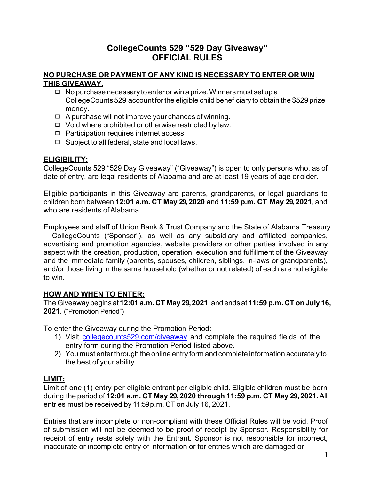# **CollegeCounts 529 "529 Day Giveaway" OFFICIAL RULES**

### **NO PURCHASE OR PAYMENT OF ANY KIND IS NECESSARY TO ENTER OR WIN THIS GIVEAWAY.**

- $\Box$  No purchase necessary to enter or win a prize. Winners must set up a CollegeCounts 529 account forthe eligible child beneficiary to obtain the \$529 prize money.
- ◻ A purchase will not improve your chances of winning.
- ◻ Void where prohibited or otherwise restricted by law.
- ◻ Participation requires internet access.
- ◻ Subject to all federal, state and local laws.

### **ELIGIBILITY:**

CollegeCounts 529 "529 Day Giveaway" ("Giveaway") is open to only persons who, as of date of entry, are legal residents of Alabama and are at least 19 years of age or older.

Eligible participants in this Giveaway are parents, grandparents, or legal guardians to children born between **12:01 a.m. CT May 29,2020** and **11:59 p.m. CT May 29,2021**, and who are residents of Alabama.

Employees and staff of Union Bank & Trust Company and the State of Alabama Treasury – CollegeCounts ("Sponsor"), as well as any subsidiary and affiliated companies, advertising and promotion agencies, website providers or other parties involved in any aspect with the creation, production, operation, execution and fulfillment of the Giveaway and the immediate family (parents, spouses, children, siblings, in-laws or grandparents), and/or those living in the same household (whether or not related) of each are not eligible to win.

### **HOW AND WHEN TO ENTER:**

The Giveawaybegins at **12:01 a.m. CT May 29,2021**, and ends at **11:59 p.m. CT on July 16, 2021**. ("Promotion Period")

To enter the Giveaway during the Promotion Period:

- 1) Visit [collegecounts529.com/giveaway](http://collegecounts529.com/giveaway) and complete the required fields of the entry form during the Promotion Period listed above.
- 2) You must enter through the online entry form and complete information accurately to the best of your ability.

### **LIMIT:**

Limit of one (1) entry per eligible entrant per eligible child. Eligible children must be born during the period of **12:01 a.m. CT May 29,2020 through 11:59 p.m. CT May 29,2021.** All entries must be received by 11:59p.m. CT on July 16, 2021.

Entries that are incomplete or non-compliant with these Official Rules will be void. Proof of submission will not be deemed to be proof of receipt by Sponsor. Responsibility for receipt of entry rests solely with the Entrant. Sponsor is not responsible for incorrect, inaccurate or incomplete entry of information or for entries which are damaged or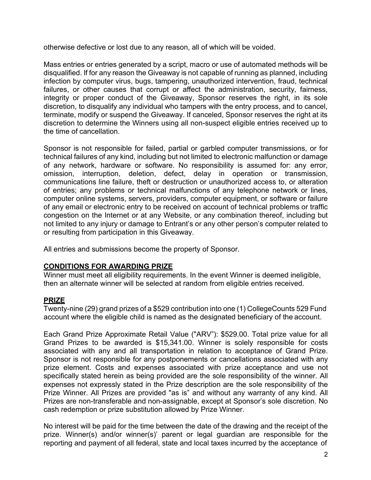otherwise defective or lost due to any reason, all of which will be voided.

Mass entries or entries generated by a script, macro or use of automated methods will be disqualified. If for any reason the Giveaway is not capable of running as planned, including infection by computer virus, bugs, tampering, unauthorized intervention, fraud, technical failures, or other causes that corrupt or affect the administration, security, fairness, integrity or proper conduct of the Giveaway, Sponsor reserves the right, in its sole discretion, to disqualify any individual who tampers with the entry process, and to cancel, terminate, modify or suspend the Giveaway. If canceled, Sponsor reserves the right at its discretion to determine the Winners using all non-suspect eligible entries received up to the time of cancellation.

Sponsor is not responsible for failed, partial or garbled computer transmissions, or for technical failures of any kind, including but not limited to electronic malfunction or damage of any network, hardware or software. No responsibility is assumed for: any error, omission, interruption, deletion, defect, delay in operation or transmission, communications line failure, theft or destruction or unauthorized access to, or alteration of entries; any problems or technical malfunctions of any telephone network or lines, computer online systems, servers, providers, computer equipment, or software or failure of any email or electronic entry to be received on account of technical problems or traffic congestion on the Internet or at any Website, or any combination thereof, including but not limited to any injury or damage to Entrant's or any other person's computer related to or resulting from participation in this Giveaway.

All entries and submissions become the property of Sponsor.

# **CONDITIONS FOR AWARDING PRIZE**

Winner must meet all eligibility requirements. In the event Winner is deemed ineligible, then an alternate winner will be selected at random from eligible entries received.

# **PRIZE**

Twenty-nine (29) grand prizes of a \$529 contribution into one (1) CollegeCounts 529 Fund account where the eligible child is named as the designated beneficiary of the account.

Each Grand Prize Approximate Retail Value ("ARV"): \$529.00. Total prize value for all Grand Prizes to be awarded is \$15,341.00. Winner is solely responsible for costs associated with any and all transportation in relation to acceptance of Grand Prize. Sponsor is not responsible for any postponements or cancellations associated with any prize element. Costs and expenses associated with prize acceptance and use not specifically stated herein as being provided are the sole responsibility of the winner. All expenses not expressly stated in the Prize description are the sole responsibility of the Prize Winner. All Prizes are provided "as is" and without any warranty of any kind. All Prizes are non-transferable and non-assignable, except at Sponsor's sole discretion. No cash redemption or prize substitution allowed by Prize Winner.

No interest will be paid for the time between the date of the drawing and the receipt of the prize. Winner(s) and/or winner(s)' parent or legal guardian are responsible for the reporting and payment of all federal, state and local taxes incurred by the acceptance of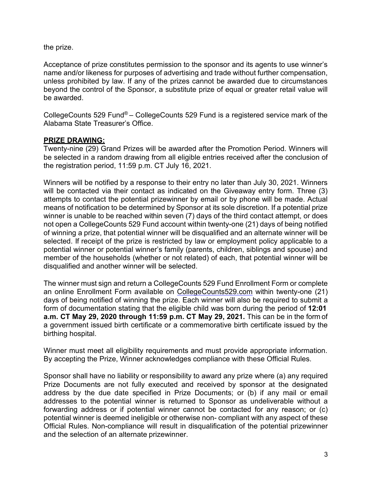the prize.

Acceptance of prize constitutes permission to the sponsor and its agents to use winner's name and/or likeness for purposes of advertising and trade without further compensation, unless prohibited by law. If any of the prizes cannot be awarded due to circumstances beyond the control of the Sponsor, a substitute prize of equal or greater retail value will be awarded.

CollegeCounts 529 Fund® – CollegeCounts 529 Fund is a registered service mark of the Alabama State Treasurer's Office.

### **PRIZE DRAWING:**

Twenty-nine (29) Grand Prizes will be awarded after the Promotion Period. Winners will be selected in a random drawing from all eligible entries received after the conclusion of the registration period, 11:59 p.m. CT July 16, 2021.

Winners will be notified by a response to their entry no later than July 30, 2021. Winners will be contacted via their contact as indicated on the Giveaway entry form. Three (3) attempts to contact the potential prizewinner by email or by phone will be made. Actual means of notification to be determined by Sponsor at its sole discretion. If a potential prize winner is unable to be reached within seven (7) days of the third contact attempt, or does not open a CollegeCounts 529 Fund account within twenty-one (21) days of being notified of winning a prize, that potential winner will be disqualified and an alternate winner will be selected. If receipt of the prize is restricted by law or employment policy applicable to a potential winner or potential winner's family (parents, children, siblings and spouse) and member of the households (whether or not related) of each, that potential winner will be disqualified and another winner will be selected.

The winner must sign and return a CollegeCounts 529 Fund Enrollment Form or complete an online Enrollment Form available on [CollegeCounts529.com](http://www.collegecounts529.com/) within twenty-one (21) days of being notified of winning the prize. Each winner will also be required to submit a form of documentation stating that the eligible child was born during the period of **12:01 a.m. CT May 29, 2020 through 11:59 p.m. CT May 29, 2021.** This can be in the form of a government issued birth certificate or a commemorative birth certificate issued by the birthing hospital.

Winner must meet all eligibility requirements and must provide appropriate information. By accepting the Prize, Winner acknowledges compliance with these Official Rules.

Sponsor shall have no liability or responsibility to award any prize where (a) any required Prize Documents are not fully executed and received by sponsor at the designated address by the due date specified in Prize Documents; or (b) if any mail or email addresses to the potential winner is returned to Sponsor as undeliverable without a forwarding address or if potential winner cannot be contacted for any reason; or (c) potential winner is deemed ineligible or otherwise non- compliant with any aspect of these Official Rules. Non-compliance will result in disqualification of the potential prizewinner and the selection of an alternate prizewinner.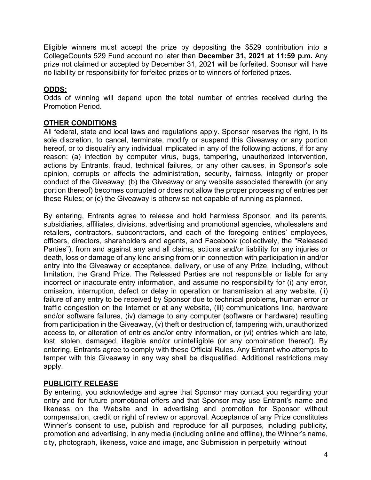Eligible winners must accept the prize by depositing the \$529 contribution into a CollegeCounts 529 Fund account no later than **December 31, 2021 at 11:59 p.m.** Any prize not claimed or accepted by December 31, 2021 will be forfeited. Sponsor will have no liability or responsibility for forfeited prizes or to winners of forfeited prizes.

# **ODDS:**

Odds of winning will depend upon the total number of entries received during the Promotion Period.

### **OTHER CONDITIONS**

All federal, state and local laws and regulations apply. Sponsor reserves the right, in its sole discretion, to cancel, terminate, modify or suspend this Giveaway or any portion hereof, or to disqualify any individual implicated in any of the following actions, if for any reason: (a) infection by computer virus, bugs, tampering, unauthorized intervention, actions by Entrants, fraud, technical failures, or any other causes, in Sponsor's sole opinion, corrupts or affects the administration, security, fairness, integrity or proper conduct of the Giveaway; (b) the Giveaway or any website associated therewith (or any portion thereof) becomes corrupted or does not allow the proper processing of entries per these Rules; or (c) the Giveaway is otherwise not capable of running as planned.

By entering, Entrants agree to release and hold harmless Sponsor, and its parents, subsidiaries, affiliates, divisions, advertising and promotional agencies, wholesalers and retailers, contractors, subcontractors, and each of the foregoing entities' employees, officers, directors, shareholders and agents, and Facebook (collectively, the "Released Parties"), from and against any and all claims, actions and/or liability for any injuries or death, loss or damage of any kind arising from or in connection with participation in and/or entry into the Giveaway or acceptance, delivery, or use of any Prize, including, without limitation, the Grand Prize. The Released Parties are not responsible or liable for any incorrect or inaccurate entry information, and assume no responsibility for (i) any error, omission, interruption, defect or delay in operation or transmission at any website, (ii) failure of any entry to be received by Sponsor due to technical problems, human error or traffic congestion on the Internet or at any website, (iii) communications line, hardware and/or software failures, (iv) damage to any computer (software or hardware) resulting from participation in the Giveaway, (v) theft or destruction of, tampering with, unauthorized access to, or alteration of entries and/or entry information, or (vi) entries which are late, lost, stolen, damaged, illegible and/or unintelligible (or any combination thereof). By entering, Entrants agree to comply with these Official Rules. Any Entrant who attempts to tamper with this Giveaway in any way shall be disqualified. Additional restrictions may apply.

#### **PUBLICITY RELEASE**

By entering, you acknowledge and agree that Sponsor may contact you regarding your entry and for future promotional offers and that Sponsor may use Entrant's name and likeness on the Website and in advertising and promotion for Sponsor without compensation, credit or right of review or approval. Acceptance of any Prize constitutes Winner's consent to use, publish and reproduce for all purposes, including publicity, promotion and advertising, in any media (including online and offline), the Winner's name, city, photograph, likeness, voice and image, and Submission in perpetuity without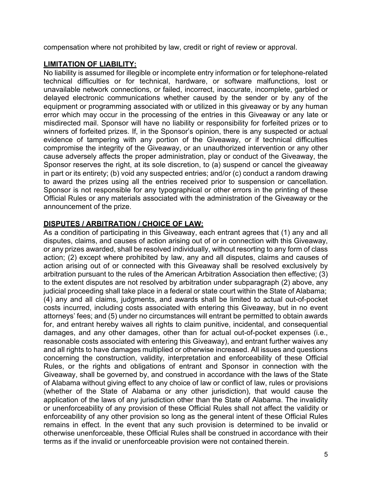compensation where not prohibited by law, credit or right of review or approval.

### **LIMITATION OF LIABILITY:**

No liability is assumed for illegible or incomplete entry information or for telephone-related technical difficulties or for technical, hardware, or software malfunctions, lost or unavailable network connections, or failed, incorrect, inaccurate, incomplete, garbled or delayed electronic communications whether caused by the sender or by any of the equipment or programming associated with or utilized in this giveaway or by any human error which may occur in the processing of the entries in this Giveaway or any late or misdirected mail. Sponsor will have no liability or responsibility for forfeited prizes or to winners of forfeited prizes. If, in the Sponsor's opinion, there is any suspected or actual evidence of tampering with any portion of the Giveaway, or if technical difficulties compromise the integrity of the Giveaway, or an unauthorized intervention or any other cause adversely affects the proper administration, play or conduct of the Giveaway, the Sponsor reserves the right, at its sole discretion, to (a) suspend or cancel the giveaway in part or its entirety; (b) void any suspected entries; and/or (c) conduct a random drawing to award the prizes using all the entries received prior to suspension or cancellation. Sponsor is not responsible for any typographical or other errors in the printing of these Official Rules or any materials associated with the administration of the Giveaway or the announcement of the prize.

### **DISPUTES / ARBITRATION / CHOICE OF LAW:**

As a condition of participating in this Giveaway, each entrant agrees that (1) any and all disputes, claims, and causes of action arising out of or in connection with this Giveaway, or any prizes awarded, shall be resolved individually, without resorting to any form of class action; (2) except where prohibited by law, any and all disputes, claims and causes of action arising out of or connected with this Giveaway shall be resolved exclusively by arbitration pursuant to the rules of the American Arbitration Association then effective; (3) to the extent disputes are not resolved by arbitration under subparagraph (2) above, any judicial proceeding shall take place in a federal or state court within the State of Alabama; (4) any and all claims, judgments, and awards shall be limited to actual out-of-pocket costs incurred, including costs associated with entering this Giveaway, but in no event attorneys' fees; and (5) under no circumstances will entrant be permitted to obtain awards for, and entrant hereby waives all rights to claim punitive, incidental, and consequential damages, and any other damages, other than for actual out-of-pocket expenses (i.e., reasonable costs associated with entering this Giveaway), and entrant further waives any and all rights to have damages multiplied or otherwise increased. All issues and questions concerning the construction, validity, interpretation and enforceability of these Official Rules, or the rights and obligations of entrant and Sponsor in connection with the Giveaway, shall be governed by, and construed in accordance with the laws of the State of Alabama without giving effect to any choice of law or conflict of law, rules or provisions (whether of the State of Alabama or any other jurisdiction), that would cause the application of the laws of any jurisdiction other than the State of Alabama. The invalidity or unenforceability of any provision of these Official Rules shall not affect the validity or enforceability of any other provision so long as the general intent of these Official Rules remains in effect. In the event that any such provision is determined to be invalid or otherwise unenforceable, these Official Rules shall be construed in accordance with their terms as if the invalid or unenforceable provision were not contained therein.